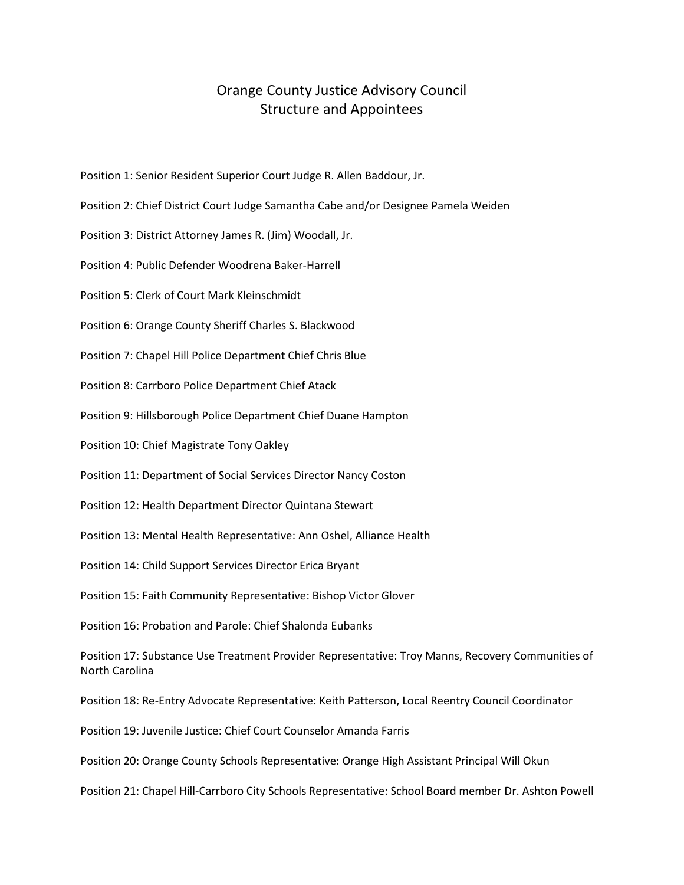## Orange County Justice Advisory Council Structure and Appointees

Position 1: Senior Resident Superior Court Judge R. Allen Baddour, Jr.

- Position 2: Chief District Court Judge Samantha Cabe and/or Designee Pamela Weiden
- Position 3: District Attorney James R. (Jim) Woodall, Jr.
- Position 4: Public Defender Woodrena Baker-Harrell
- Position 5: Clerk of Court Mark Kleinschmidt
- Position 6: Orange County Sheriff Charles S. Blackwood
- Position 7: Chapel Hill Police Department Chief Chris Blue
- Position 8: Carrboro Police Department Chief Atack
- Position 9: Hillsborough Police Department Chief Duane Hampton
- Position 10: Chief Magistrate Tony Oakley
- Position 11: Department of Social Services Director Nancy Coston
- Position 12: Health Department Director Quintana Stewart
- Position 13: Mental Health Representative: Ann Oshel, Alliance Health
- Position 14: Child Support Services Director Erica Bryant
- Position 15: Faith Community Representative: Bishop Victor Glover
- Position 16: Probation and Parole: Chief Shalonda Eubanks

Position 17: Substance Use Treatment Provider Representative: Troy Manns, Recovery Communities of North Carolina

Position 18: Re-Entry Advocate Representative: Keith Patterson, Local Reentry Council Coordinator

- Position 19: Juvenile Justice: Chief Court Counselor Amanda Farris
- Position 20: Orange County Schools Representative: Orange High Assistant Principal Will Okun
- Position 21: Chapel Hill-Carrboro City Schools Representative: School Board member Dr. Ashton Powell